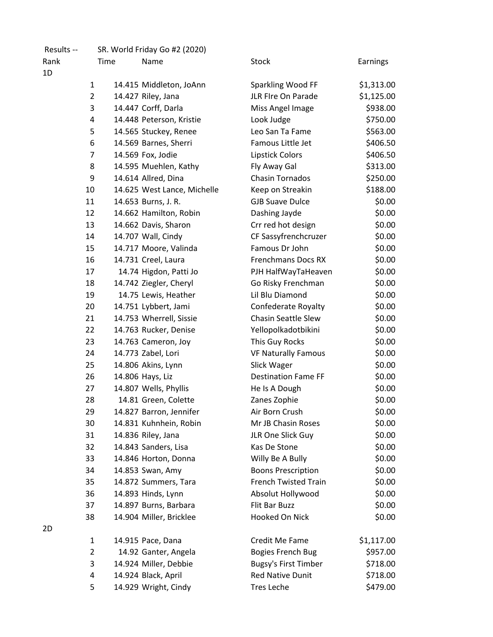| Results -- |                | SR. World Friday Go #2 (2020) |                             |            |
|------------|----------------|-------------------------------|-----------------------------|------------|
| Rank       | Time           | Name                          | <b>Stock</b>                | Earnings   |
| 1D         |                |                               |                             |            |
|            | 1              | 14.415 Middleton, JoAnn       | Sparkling Wood FF           | \$1,313.00 |
|            | $\overline{2}$ | 14.427 Riley, Jana            | <b>JLR FIre On Parade</b>   | \$1,125.00 |
|            | 3              | 14.447 Corff, Darla           | Miss Angel Image            | \$938.00   |
|            | 4              | 14.448 Peterson, Kristie      | Look Judge                  | \$750.00   |
|            | 5              | 14.565 Stuckey, Renee         | Leo San Ta Fame             | \$563.00   |
|            | 6              | 14.569 Barnes, Sherri         | Famous Little Jet           | \$406.50   |
|            | 7              | 14.569 Fox, Jodie             | <b>Lipstick Colors</b>      | \$406.50   |
|            | 8              | 14.595 Muehlen, Kathy         | Fly Away Gal                | \$313.00   |
|            | 9              | 14.614 Allred, Dina           | <b>Chasin Tornados</b>      | \$250.00   |
|            | 10             | 14.625 West Lance, Michelle   | Keep on Streakin            | \$188.00   |
|            | 11             | 14.653 Burns, J. R.           | <b>GJB Suave Dulce</b>      | \$0.00     |
|            | 12             | 14.662 Hamilton, Robin        | Dashing Jayde               | \$0.00     |
|            | 13             | 14.662 Davis, Sharon          | Crr red hot design          | \$0.00     |
|            | 14             | 14.707 Wall, Cindy            | CF Sassyfrenchcruzer        | \$0.00     |
|            | 15             | 14.717 Moore, Valinda         | Famous Dr John              | \$0.00     |
|            | 16             | 14.731 Creel, Laura           | <b>Frenchmans Docs RX</b>   | \$0.00     |
|            | 17             | 14.74 Higdon, Patti Jo        | PJH HalfWayTaHeaven         | \$0.00     |
|            | 18             | 14.742 Ziegler, Cheryl        | Go Risky Frenchman          | \$0.00     |
|            | 19             | 14.75 Lewis, Heather          | Lil Blu Diamond             | \$0.00     |
|            | 20             | 14.751 Lybbert, Jami          | Confederate Royalty         | \$0.00     |
|            | 21             | 14.753 Wherrell, Sissie       | <b>Chasin Seattle Slew</b>  | \$0.00     |
|            | 22             | 14.763 Rucker, Denise         | Yellopolkadotbikini         | \$0.00     |
|            | 23             | 14.763 Cameron, Joy           | This Guy Rocks              | \$0.00     |
|            | 24             | 14.773 Zabel, Lori            | <b>VF Naturally Famous</b>  | \$0.00     |
|            | 25             | 14.806 Akins, Lynn            | Slick Wager                 | \$0.00     |
|            | 26             | 14.806 Hays, Liz              | <b>Destination Fame FF</b>  | \$0.00     |
|            | 27             | 14.807 Wells, Phyllis         | He Is A Dough               | \$0.00     |
|            | 28             | 14.81 Green, Colette          | Zanes Zophie                | \$0.00     |
|            | 29             | 14.827 Barron, Jennifer       | Air Born Crush              | \$0.00     |
|            | 30             | 14.831 Kuhnhein, Robin        | Mr JB Chasin Roses          | \$0.00     |
|            | 31             | 14.836 Riley, Jana            | JLR One Slick Guy           | \$0.00     |
|            | 32             | 14.843 Sanders, Lisa          | Kas De Stone                | \$0.00     |
|            | 33             | 14.846 Horton, Donna          | Willy Be A Bully            | \$0.00     |
|            | 34             | 14.853 Swan, Amy              | <b>Boons Prescription</b>   | \$0.00     |
|            | 35             | 14.872 Summers, Tara          | <b>French Twisted Train</b> | \$0.00     |
|            | 36             | 14.893 Hinds, Lynn            | Absolut Hollywood           | \$0.00     |
|            | 37             | 14.897 Burns, Barbara         | Flit Bar Buzz               | \$0.00     |
|            | 38             | 14.904 Miller, Bricklee       | Hooked On Nick              | \$0.00     |
| 2D         |                |                               |                             |            |
|            | $\mathbf{1}$   | 14.915 Pace, Dana             | Credit Me Fame              | \$1,117.00 |
|            | 2              | 14.92 Ganter, Angela          | <b>Bogies French Bug</b>    | \$957.00   |
|            | 3              | 14.924 Miller, Debbie         | <b>Bugsy's First Timber</b> | \$718.00   |
|            | 4              | 14.924 Black, April           | <b>Red Native Dunit</b>     | \$718.00   |
|            | 5              | 14.929 Wright, Cindy          | <b>Tres Leche</b>           | \$479.00   |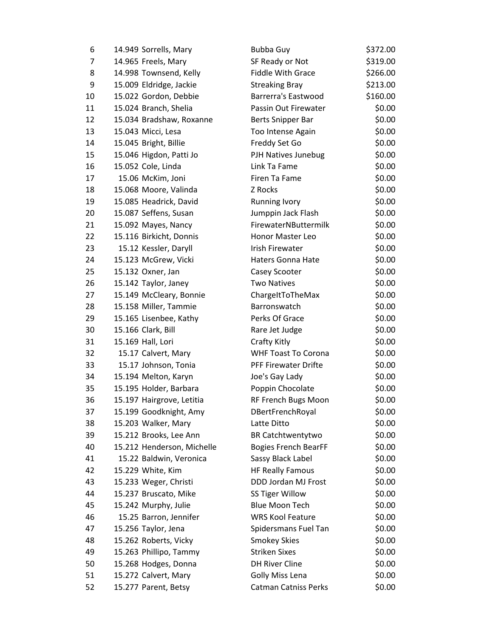| 6  | 14.949 Sorrells, Mary      | <b>Bubba Guy</b>            | \$372.00 |
|----|----------------------------|-----------------------------|----------|
| 7  | 14.965 Freels, Mary        | SF Ready or Not             | \$319.00 |
| 8  | 14.998 Townsend, Kelly     | <b>Fiddle With Grace</b>    | \$266.00 |
| 9  | 15.009 Eldridge, Jackie    | <b>Streaking Bray</b>       | \$213.00 |
| 10 | 15.022 Gordon, Debbie      | <b>Barrerra's Eastwood</b>  | \$160.00 |
| 11 | 15.024 Branch, Shelia      | Passin Out Firewater        | \$0.00   |
| 12 | 15.034 Bradshaw, Roxanne   | Berts Snipper Bar           | \$0.00   |
| 13 | 15.043 Micci, Lesa         | Too Intense Again           | \$0.00   |
| 14 | 15.045 Bright, Billie      | Freddy Set Go               | \$0.00   |
| 15 | 15.046 Higdon, Patti Jo    | PJH Natives Junebug         | \$0.00   |
| 16 | 15.052 Cole, Linda         | Link Ta Fame                | \$0.00   |
| 17 | 15.06 McKim, Joni          | Firen Ta Fame               | \$0.00   |
| 18 | 15.068 Moore, Valinda      | Z Rocks                     | \$0.00   |
| 19 | 15.085 Headrick, David     | <b>Running Ivory</b>        | \$0.00   |
| 20 | 15.087 Seffens, Susan      | Jumppin Jack Flash          | \$0.00   |
| 21 | 15.092 Mayes, Nancy        | FirewaterNButtermilk        | \$0.00   |
| 22 | 15.116 Birkicht, Donnis    | Honor Master Leo            | \$0.00   |
| 23 | 15.12 Kessler, Daryll      | <b>Irish Firewater</b>      | \$0.00   |
| 24 | 15.123 McGrew, Vicki       | Haters Gonna Hate           | \$0.00   |
| 25 | 15.132 Oxner, Jan          | Casey Scooter               | \$0.00   |
| 26 | 15.142 Taylor, Janey       | <b>Two Natives</b>          | \$0.00   |
| 27 | 15.149 McCleary, Bonnie    | ChargeItToTheMax            | \$0.00   |
| 28 | 15.158 Miller, Tammie      | Barronswatch                | \$0.00   |
| 29 | 15.165 Lisenbee, Kathy     | Perks Of Grace              | \$0.00   |
| 30 | 15.166 Clark, Bill         | Rare Jet Judge              | \$0.00   |
| 31 | 15.169 Hall, Lori          | Crafty Kitly                | \$0.00   |
| 32 | 15.17 Calvert, Mary        | <b>WHF Toast To Corona</b>  | \$0.00   |
| 33 | 15.17 Johnson, Tonia       | <b>PFF Firewater Drifte</b> | \$0.00   |
| 34 | 15.194 Melton, Karyn       | Joe's Gay Lady              | \$0.00   |
| 35 | 15.195 Holder, Barbara     | Poppin Chocolate            | \$0.00   |
| 36 | 15.197 Hairgrove, Letitia  | RF French Bugs Moon         | \$0.00   |
| 37 | 15.199 Goodknight, Amy     | DBertFrenchRoyal            | \$0.00   |
| 38 | 15.203 Walker, Mary        | Latte Ditto                 | \$0.00   |
| 39 | 15.212 Brooks, Lee Ann     | <b>BR Catchtwentytwo</b>    | \$0.00   |
| 40 | 15.212 Henderson, Michelle | <b>Bogies French BearFF</b> | \$0.00   |
| 41 | 15.22 Baldwin, Veronica    | Sassy Black Label           | \$0.00   |
| 42 | 15.229 White, Kim          | <b>HF Really Famous</b>     | \$0.00   |
| 43 | 15.233 Weger, Christi      | DDD Jordan MJ Frost         | \$0.00   |
| 44 | 15.237 Bruscato, Mike      | SS Tiger Willow             | \$0.00   |
| 45 | 15.242 Murphy, Julie       | <b>Blue Moon Tech</b>       | \$0.00   |
| 46 | 15.25 Barron, Jennifer     | <b>WRS Kool Feature</b>     | \$0.00   |
| 47 | 15.256 Taylor, Jena        | Spidersmans Fuel Tan        | \$0.00   |
| 48 | 15.262 Roberts, Vicky      | <b>Smokey Skies</b>         | \$0.00   |
| 49 | 15.263 Phillipo, Tammy     | <b>Striken Sixes</b>        | \$0.00   |
| 50 | 15.268 Hodges, Donna       | <b>DH River Cline</b>       | \$0.00   |
| 51 | 15.272 Calvert, Mary       | Golly Miss Lena             | \$0.00   |
| 52 | 15.277 Parent, Betsy       | <b>Catman Catniss Perks</b> | \$0.00   |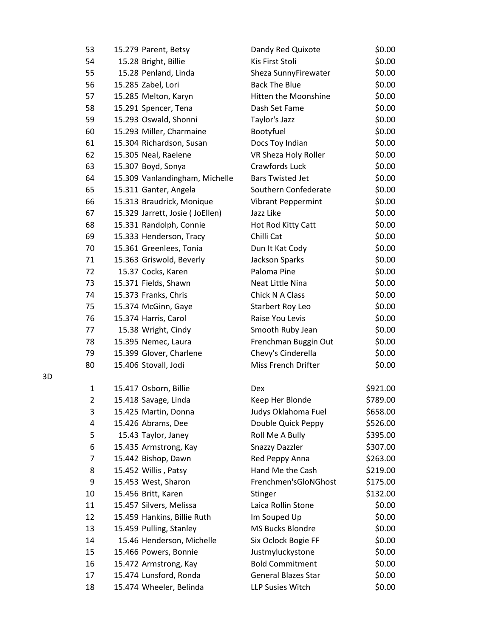| 53             | 15.279 Parent, Betsy            | Dandy Red Quixote          | \$0.00   |
|----------------|---------------------------------|----------------------------|----------|
| 54             | 15.28 Bright, Billie            | Kis First Stoli            | \$0.00   |
| 55             | 15.28 Penland, Linda            | Sheza SunnyFirewater       | \$0.00   |
| 56             | 15.285 Zabel, Lori              | <b>Back The Blue</b>       | \$0.00   |
| 57             | 15.285 Melton, Karyn            | Hitten the Moonshine       | \$0.00   |
| 58             | 15.291 Spencer, Tena            | Dash Set Fame              | \$0.00   |
| 59             | 15.293 Oswald, Shonni           | Taylor's Jazz              | \$0.00   |
| 60             | 15.293 Miller, Charmaine        | Bootyfuel                  | \$0.00   |
| 61             | 15.304 Richardson, Susan        | Docs Toy Indian            | \$0.00   |
| 62             | 15.305 Neal, Raelene            | VR Sheza Holy Roller       | \$0.00   |
| 63             | 15.307 Boyd, Sonya              | Crawfords Luck             | \$0.00   |
| 64             | 15.309 Vanlandingham, Michelle  | <b>Bars Twisted Jet</b>    | \$0.00   |
| 65             | 15.311 Ganter, Angela           | Southern Confederate       | \$0.00   |
| 66             | 15.313 Braudrick, Monique       | <b>Vibrant Peppermint</b>  | \$0.00   |
| 67             | 15.329 Jarrett, Josie (JoEllen) | Jazz Like                  | \$0.00   |
| 68             | 15.331 Randolph, Connie         | Hot Rod Kitty Catt         | \$0.00   |
| 69             | 15.333 Henderson, Tracy         | Chilli Cat                 | \$0.00   |
| 70             | 15.361 Greenlees, Tonia         | Dun It Kat Cody            | \$0.00   |
| 71             | 15.363 Griswold, Beverly        | Jackson Sparks             | \$0.00   |
| 72             | 15.37 Cocks, Karen              | Paloma Pine                | \$0.00   |
| 73             | 15.371 Fields, Shawn            | Neat Little Nina           | \$0.00   |
| 74             | 15.373 Franks, Chris            | Chick N A Class            | \$0.00   |
| 75             | 15.374 McGinn, Gaye             | Starbert Roy Leo           | \$0.00   |
| 76             | 15.374 Harris, Carol            | Raise You Levis            | \$0.00   |
| 77             | 15.38 Wright, Cindy             | Smooth Ruby Jean           | \$0.00   |
| 78             | 15.395 Nemec, Laura             | Frenchman Buggin Out       | \$0.00   |
| 79             | 15.399 Glover, Charlene         | Chevy's Cinderella         | \$0.00   |
| 80             | 15.406 Stovall, Jodi            | Miss French Drifter        | \$0.00   |
| 1              | 15.417 Osborn, Billie           | Dex                        | \$921.00 |
| $\overline{2}$ | 15.418 Savage, Linda            | Keep Her Blonde            | \$789.00 |
| 3              | 15.425 Martin, Donna            | Judys Oklahoma Fuel        | \$658.00 |
| 4              | 15.426 Abrams, Dee              | Double Quick Peppy         | \$526.00 |
| 5              | 15.43 Taylor, Janey             | Roll Me A Bully            | \$395.00 |
| 6              | 15.435 Armstrong, Kay           | <b>Snazzy Dazzler</b>      | \$307.00 |
| 7              | 15.442 Bishop, Dawn             | Red Peppy Anna             | \$263.00 |
| 8              | 15.452 Willis, Patsy            | Hand Me the Cash           | \$219.00 |
| 9              | 15.453 West, Sharon             | Frenchmen'sGloNGhost       | \$175.00 |
| 10             | 15.456 Britt, Karen             | Stinger                    | \$132.00 |
| 11             | 15.457 Silvers, Melissa         | Laica Rollin Stone         | \$0.00   |
| 12             | 15.459 Hankins, Billie Ruth     | Im Souped Up               | \$0.00   |
| 13             | 15.459 Pulling, Stanley         | MS Bucks Blondre           | \$0.00   |
| 14             | 15.46 Henderson, Michelle       | Six Oclock Bogie FF        | \$0.00   |
| 15             | 15.466 Powers, Bonnie           | Justmyluckystone           | \$0.00   |
| 16             | 15.472 Armstrong, Kay           | <b>Bold Commitment</b>     | \$0.00   |
| 17             | 15.474 Lunsford, Ronda          | <b>General Blazes Star</b> | \$0.00   |
| 18             | 15.474 Wheeler, Belinda         | LLP Susies Witch           | \$0.00   |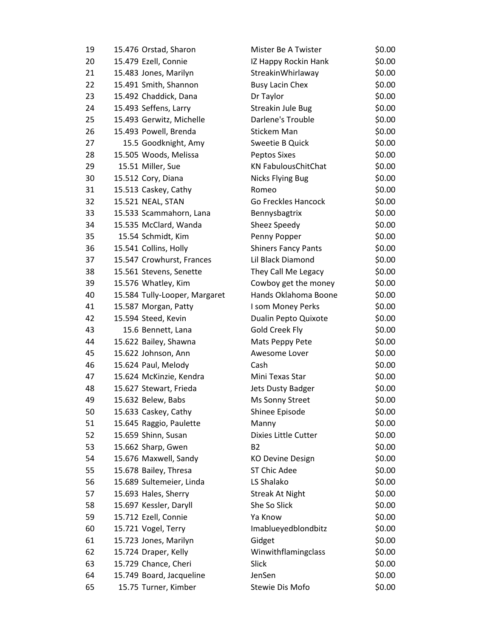| 19 | 15.476 Orstad, Sharon         | Mister Be A Twister        | \$0.00 |
|----|-------------------------------|----------------------------|--------|
| 20 | 15.479 Ezell, Connie          | IZ Happy Rockin Hank       | \$0.00 |
| 21 | 15.483 Jones, Marilyn         | StreakinWhirlaway          | \$0.00 |
| 22 | 15.491 Smith, Shannon         | <b>Busy Lacin Chex</b>     | \$0.00 |
| 23 | 15.492 Chaddick, Dana         | Dr Taylor                  | \$0.00 |
| 24 | 15.493 Seffens, Larry         | Streakin Jule Bug          | \$0.00 |
| 25 | 15.493 Gerwitz, Michelle      | Darlene's Trouble          | \$0.00 |
| 26 | 15.493 Powell, Brenda         | Stickem Man                | \$0.00 |
| 27 | 15.5 Goodknight, Amy          | Sweetie B Quick            | \$0.00 |
| 28 | 15.505 Woods, Melissa         | <b>Peptos Sixes</b>        | \$0.00 |
| 29 | 15.51 Miller, Sue             | <b>KN FabulousChitChat</b> | \$0.00 |
| 30 | 15.512 Cory, Diana            | <b>Nicks Flying Bug</b>    | \$0.00 |
| 31 | 15.513 Caskey, Cathy          | Romeo                      | \$0.00 |
| 32 | 15.521 NEAL, STAN             | Go Freckles Hancock        | \$0.00 |
| 33 | 15.533 Scammahorn, Lana       | Bennysbagtrix              | \$0.00 |
| 34 | 15.535 McClard, Wanda         | Sheez Speedy               | \$0.00 |
| 35 | 15.54 Schmidt, Kim            | Penny Popper               | \$0.00 |
| 36 | 15.541 Collins, Holly         | <b>Shiners Fancy Pants</b> | \$0.00 |
| 37 | 15.547 Crowhurst, Frances     | Lil Black Diamond          | \$0.00 |
| 38 | 15.561 Stevens, Senette       | They Call Me Legacy        | \$0.00 |
| 39 | 15.576 Whatley, Kim           | Cowboy get the money       | \$0.00 |
| 40 | 15.584 Tully-Looper, Margaret | Hands Oklahoma Boone       | \$0.00 |
| 41 | 15.587 Morgan, Patty          | I som Money Perks          | \$0.00 |
| 42 | 15.594 Steed, Kevin           | Dualin Pepto Quixote       | \$0.00 |
| 43 | 15.6 Bennett, Lana            | Gold Creek Fly             | \$0.00 |
| 44 | 15.622 Bailey, Shawna         | Mats Peppy Pete            | \$0.00 |
| 45 | 15.622 Johnson, Ann           | Awesome Lover              | \$0.00 |
| 46 | 15.624 Paul, Melody           | Cash                       | \$0.00 |
| 47 | 15.624 McKinzie, Kendra       | Mini Texas Star            | \$0.00 |
| 48 | 15.627 Stewart, Frieda        | Jets Dusty Badger          | \$0.00 |
| 49 | 15.632 Belew, Babs            | Ms Sonny Street            | \$0.00 |
| 50 | 15.633 Caskey, Cathy          | Shinee Episode             | \$0.00 |
| 51 | 15.645 Raggio, Paulette       | Manny                      | \$0.00 |
| 52 | 15.659 Shinn, Susan           | Dixies Little Cutter       | \$0.00 |
| 53 | 15.662 Sharp, Gwen            | B <sub>2</sub>             | \$0.00 |
| 54 | 15.676 Maxwell, Sandy         | <b>KO Devine Design</b>    | \$0.00 |
| 55 | 15.678 Bailey, Thresa         | <b>ST Chic Adee</b>        | \$0.00 |
| 56 | 15.689 Sultemeier, Linda      | LS Shalako                 | \$0.00 |
| 57 | 15.693 Hales, Sherry          | <b>Streak At Night</b>     | \$0.00 |
| 58 | 15.697 Kessler, Daryll        | She So Slick               | \$0.00 |
| 59 | 15.712 Ezell, Connie          | Ya Know                    | \$0.00 |
| 60 | 15.721 Vogel, Terry           | Imablueyedblondbitz        | \$0.00 |
| 61 | 15.723 Jones, Marilyn         | Gidget                     | \$0.00 |
| 62 | 15.724 Draper, Kelly          | Winwithflamingclass        | \$0.00 |
| 63 | 15.729 Chance, Cheri          | Slick                      | \$0.00 |
| 64 | 15.749 Board, Jacqueline      | JenSen                     | \$0.00 |
| 65 | 15.75 Turner, Kimber          | Stewie Dis Mofo            | \$0.00 |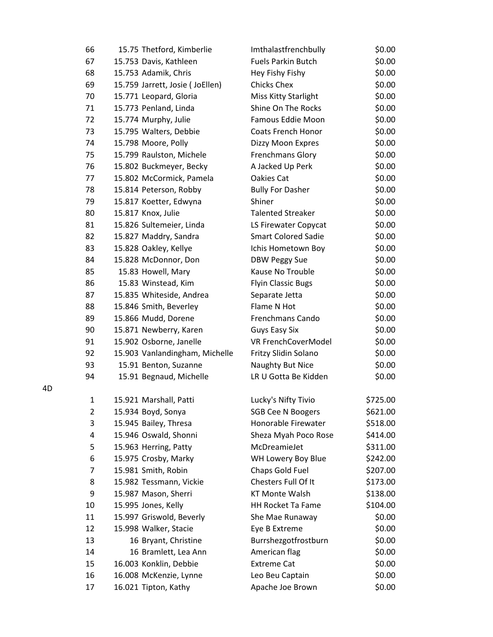| 66           | 15.75 Thetford, Kimberlie       | Imthalastfrenchbully       | \$0.00   |
|--------------|---------------------------------|----------------------------|----------|
| 67           | 15.753 Davis, Kathleen          | <b>Fuels Parkin Butch</b>  | \$0.00   |
| 68           | 15.753 Adamik, Chris            | Hey Fishy Fishy            | \$0.00   |
| 69           | 15.759 Jarrett, Josie (JoEllen) | <b>Chicks Chex</b>         | \$0.00   |
| 70           | 15.771 Leopard, Gloria          | Miss Kitty Starlight       | \$0.00   |
| 71           | 15.773 Penland, Linda           | Shine On The Rocks         | \$0.00   |
| 72           | 15.774 Murphy, Julie            | Famous Eddie Moon          | \$0.00   |
| 73           | 15.795 Walters, Debbie          | <b>Coats French Honor</b>  | \$0.00   |
| 74           | 15.798 Moore, Polly             | Dizzy Moon Expres          | \$0.00   |
| 75           | 15.799 Raulston, Michele        | Frenchmans Glory           | \$0.00   |
| 76           | 15.802 Buckmeyer, Becky         | A Jacked Up Perk           | \$0.00   |
| 77           | 15.802 McCormick, Pamela        | Oakies Cat                 | \$0.00   |
| 78           | 15.814 Peterson, Robby          | <b>Bully For Dasher</b>    | \$0.00   |
| 79           | 15.817 Koetter, Edwyna          | Shiner                     | \$0.00   |
| 80           | 15.817 Knox, Julie              | <b>Talented Streaker</b>   | \$0.00   |
| 81           | 15.826 Sultemeier, Linda        | LS Firewater Copycat       | \$0.00   |
| 82           | 15.827 Maddry, Sandra           | <b>Smart Colored Sadie</b> | \$0.00   |
| 83           | 15.828 Oakley, Kellye           | Ichis Hometown Boy         | \$0.00   |
| 84           | 15.828 McDonnor, Don            | <b>DBW Peggy Sue</b>       | \$0.00   |
| 85           | 15.83 Howell, Mary              | Kause No Trouble           | \$0.00   |
| 86           | 15.83 Winstead, Kim             | <b>Flyin Classic Bugs</b>  | \$0.00   |
| 87           | 15.835 Whiteside, Andrea        | Separate Jetta             | \$0.00   |
| 88           | 15.846 Smith, Beverley          | Flame N Hot                | \$0.00   |
| 89           | 15.866 Mudd, Dorene             | Frenchmans Cando           | \$0.00   |
| 90           | 15.871 Newberry, Karen          | <b>Guys Easy Six</b>       | \$0.00   |
| 91           | 15.902 Osborne, Janelle         | VR FrenchCoverModel        | \$0.00   |
| 92           | 15.903 Vanlandingham, Michelle  | Fritzy Slidin Solano       | \$0.00   |
| 93           | 15.91 Benton, Suzanne           | Naughty But Nice           | \$0.00   |
| 94           | 15.91 Begnaud, Michelle         | LR U Gotta Be Kidden       | \$0.00   |
| $\mathbf{1}$ | 15.921 Marshall, Patti          | Lucky's Nifty Tivio        | \$725.00 |
| 2            | 15.934 Boyd, Sonya              | <b>SGB Cee N Boogers</b>   | \$621.00 |
| 3            | 15.945 Bailey, Thresa           | Honorable Firewater        | \$518.00 |
| 4            | 15.946 Oswald, Shonni           | Sheza Myah Poco Rose       | \$414.00 |
| 5            | 15.963 Herring, Patty           | McDreamieJet               | \$311.00 |
| 6            | 15.975 Crosby, Marky            | WH Lowery Boy Blue         | \$242.00 |
| 7            | 15.981 Smith, Robin             | Chaps Gold Fuel            | \$207.00 |
| 8            | 15.982 Tessmann, Vickie         | Chesters Full Of It        | \$173.00 |
| 9            | 15.987 Mason, Sherri            | <b>KT Monte Walsh</b>      | \$138.00 |
| 10           | 15.995 Jones, Kelly             | HH Rocket Ta Fame          | \$104.00 |
| 11           | 15.997 Griswold, Beverly        | She Mae Runaway            | \$0.00   |
| 12           | 15.998 Walker, Stacie           | Eye B Extreme              | \$0.00   |
| 13           | 16 Bryant, Christine            | Burrshezgotfrostburn       | \$0.00   |
| 14           | 16 Bramlett, Lea Ann            | American flag              | \$0.00   |
| 15           | 16.003 Konklin, Debbie          | <b>Extreme Cat</b>         | \$0.00   |
| 16           | 16.008 McKenzie, Lynne          | Leo Beu Captain            | \$0.00   |
| 17           | 16.021 Tipton, Kathy            | Apache Joe Brown           | \$0.00   |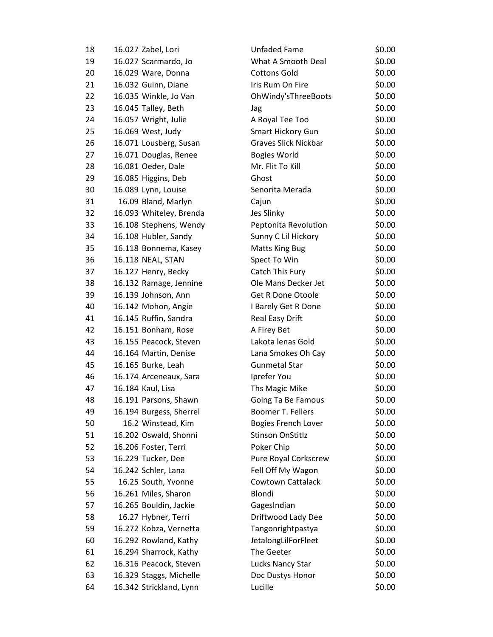| 18 | 16.027 Zabel, Lori      | <b>Unfaded Fame</b>        | \$0.00 |
|----|-------------------------|----------------------------|--------|
| 19 | 16.027 Scarmardo, Jo    | What A Smooth Deal         | \$0.00 |
| 20 | 16.029 Ware, Donna      | <b>Cottons Gold</b>        | \$0.00 |
| 21 | 16.032 Guinn, Diane     | Iris Rum On Fire           | \$0.00 |
| 22 | 16.035 Winkle, Jo Van   | OhWindy'sThreeBoots        | \$0.00 |
| 23 | 16.045 Talley, Beth     | Jag                        | \$0.00 |
| 24 | 16.057 Wright, Julie    | A Royal Tee Too            | \$0.00 |
| 25 | 16.069 West, Judy       | Smart Hickory Gun          | \$0.00 |
| 26 | 16.071 Lousberg, Susan  | Graves Slick Nickbar       | \$0.00 |
| 27 | 16.071 Douglas, Renee   | <b>Bogies World</b>        | \$0.00 |
| 28 | 16.081 Oeder, Dale      | Mr. Flit To Kill           | \$0.00 |
| 29 | 16.085 Higgins, Deb     | Ghost                      | \$0.00 |
| 30 | 16.089 Lynn, Louise     | Senorita Merada            | \$0.00 |
| 31 | 16.09 Bland, Marlyn     | Cajun                      | \$0.00 |
| 32 | 16.093 Whiteley, Brenda | Jes Slinky                 | \$0.00 |
| 33 | 16.108 Stephens, Wendy  | Peptonita Revolution       | \$0.00 |
| 34 | 16.108 Hubler, Sandy    | Sunny C Lil Hickory        | \$0.00 |
| 35 | 16.118 Bonnema, Kasey   | <b>Matts King Bug</b>      | \$0.00 |
| 36 | 16.118 NEAL, STAN       | Spect To Win               | \$0.00 |
| 37 | 16.127 Henry, Becky     | Catch This Fury            | \$0.00 |
| 38 | 16.132 Ramage, Jennine  | Ole Mans Decker Jet        | \$0.00 |
| 39 | 16.139 Johnson, Ann     | <b>Get R Done Otoole</b>   | \$0.00 |
| 40 | 16.142 Mohon, Angie     | I Barely Get R Done        | \$0.00 |
| 41 | 16.145 Ruffin, Sandra   | Real Easy Drift            | \$0.00 |
| 42 | 16.151 Bonham, Rose     | A Firey Bet                | \$0.00 |
| 43 | 16.155 Peacock, Steven  | Lakota lenas Gold          | \$0.00 |
| 44 | 16.164 Martin, Denise   | Lana Smokes Oh Cay         | \$0.00 |
| 45 | 16.165 Burke, Leah      | <b>Gunmetal Star</b>       | \$0.00 |
| 46 | 16.174 Arceneaux, Sara  | Iprefer You                | \$0.00 |
| 47 | 16.184 Kaul, Lisa       | Ths Magic Mike             | \$0.00 |
| 48 | 16.191 Parsons, Shawn   | Going Ta Be Famous         | \$0.00 |
| 49 | 16.194 Burgess, Sherrel | Boomer T. Fellers          | \$0.00 |
| 50 | 16.2 Winstead, Kim      | <b>Bogies French Lover</b> | \$0.00 |
| 51 | 16.202 Oswald, Shonni   | <b>Stinson OnStitlz</b>    | \$0.00 |
| 52 | 16.206 Foster, Terri    | Poker Chip                 | \$0.00 |
| 53 | 16.229 Tucker, Dee      | Pure Royal Corkscrew       | \$0.00 |
| 54 | 16.242 Schler, Lana     | Fell Off My Wagon          | \$0.00 |
| 55 | 16.25 South, Yvonne     | <b>Cowtown Cattalack</b>   | \$0.00 |
| 56 | 16.261 Miles, Sharon    | Blondi                     | \$0.00 |
| 57 | 16.265 Bouldin, Jackie  | GagesIndian                | \$0.00 |
| 58 | 16.27 Hybner, Terri     | Driftwood Lady Dee         | \$0.00 |
| 59 | 16.272 Kobza, Vernetta  | Tangonrightpastya          | \$0.00 |
| 60 | 16.292 Rowland, Kathy   | JetalongLilForFleet        | \$0.00 |
| 61 | 16.294 Sharrock, Kathy  | The Geeter                 | \$0.00 |
| 62 | 16.316 Peacock, Steven  | Lucks Nancy Star           | \$0.00 |
| 63 | 16.329 Staggs, Michelle | Doc Dustys Honor           | \$0.00 |
| 64 | 16.342 Strickland, Lynn | Lucille                    | \$0.00 |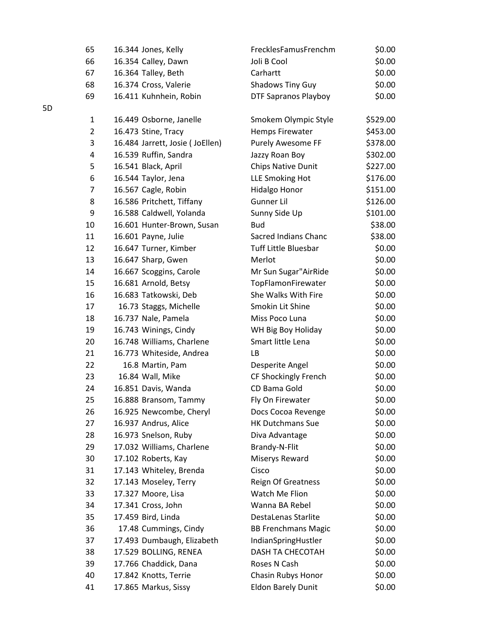| 65             | 16.344 Jones, Kelly             | FrecklesFamusFrenchm        | \$0.00   |
|----------------|---------------------------------|-----------------------------|----------|
| 66             | 16.354 Calley, Dawn             | Joli B Cool                 | \$0.00   |
| 67             | 16.364 Talley, Beth             | Carhartt                    | \$0.00   |
| 68             | 16.374 Cross, Valerie           | <b>Shadows Tiny Guy</b>     | \$0.00   |
| 69             | 16.411 Kuhnhein, Robin          | <b>DTF Sapranos Playboy</b> | \$0.00   |
| $\mathbf{1}$   | 16.449 Osborne, Janelle         | Smokem Olympic Style        | \$529.00 |
| $\overline{2}$ | 16.473 Stine, Tracy             | <b>Hemps Firewater</b>      | \$453.00 |
| 3              | 16.484 Jarrett, Josie (JoEllen) | Purely Awesome FF           | \$378.00 |
| 4              | 16.539 Ruffin, Sandra           | Jazzy Roan Boy              | \$302.00 |
| 5              | 16.541 Black, April             | <b>Chips Native Dunit</b>   | \$227.00 |
| 6              | 16.544 Taylor, Jena             | LLE Smoking Hot             | \$176.00 |
| 7              | 16.567 Cagle, Robin             | Hidalgo Honor               | \$151.00 |
| 8              | 16.586 Pritchett, Tiffany       | Gunner Lil                  | \$126.00 |
| 9              | 16.588 Caldwell, Yolanda        | Sunny Side Up               | \$101.00 |
| 10             | 16.601 Hunter-Brown, Susan      | <b>Bud</b>                  | \$38.00  |
| 11             | 16.601 Payne, Julie             | Sacred Indians Chanc        | \$38.00  |
| 12             | 16.647 Turner, Kimber           | <b>Tuff Little Bluesbar</b> | \$0.00   |
| 13             | 16.647 Sharp, Gwen              | Merlot                      | \$0.00   |
| 14             | 16.667 Scoggins, Carole         | Mr Sun Sugar"AirRide        | \$0.00   |
| 15             | 16.681 Arnold, Betsy            | TopFlamonFirewater          | \$0.00   |
| 16             | 16.683 Tatkowski, Deb           | She Walks With Fire         | \$0.00   |
| 17             | 16.73 Staggs, Michelle          | Smokin Lit Shine            | \$0.00   |
| 18             | 16.737 Nale, Pamela             | Miss Poco Luna              | \$0.00   |
| 19             | 16.743 Winings, Cindy           | WH Big Boy Holiday          | \$0.00   |
| 20             | 16.748 Williams, Charlene       | Smart little Lena           | \$0.00   |
| 21             | 16.773 Whiteside, Andrea        | LB                          | \$0.00   |
| 22             | 16.8 Martin, Pam                | Desperite Angel             | \$0.00   |
| 23             | 16.84 Wall, Mike                | CF Shockingly French        | \$0.00   |
| 24             | 16.851 Davis, Wanda             | CD Bama Gold                | \$0.00   |
| 25             | 16.888 Bransom, Tammy           | Fly On Firewater            | \$0.00   |
| 26             | 16.925 Newcombe, Cheryl         | Docs Cocoa Revenge          | \$0.00   |
| 27             | 16.937 Andrus, Alice            | <b>HK Dutchmans Sue</b>     | \$0.00   |
| 28             | 16.973 Snelson, Ruby            | Diva Advantage              | \$0.00   |
| 29             | 17.032 Williams, Charlene       | Brandy-N-Flit               | \$0.00   |
| 30             | 17.102 Roberts, Kay             | Miserys Reward              | \$0.00   |
| 31             | 17.143 Whiteley, Brenda         | Cisco                       | \$0.00   |
| 32             | 17.143 Moseley, Terry           | <b>Reign Of Greatness</b>   | \$0.00   |
| 33             | 17.327 Moore, Lisa              | Watch Me Flion              | \$0.00   |
| 34             | 17.341 Cross, John              | Wanna BA Rebel              | \$0.00   |
| 35             | 17.459 Bird, Linda              | DestaLenas Starlite         | \$0.00   |
| 36             | 17.48 Cummings, Cindy           | <b>BB Frenchmans Magic</b>  | \$0.00   |
| 37             | 17.493 Dumbaugh, Elizabeth      | IndianSpringHustler         | \$0.00   |
| 38             | 17.529 BOLLING, RENEA           | DASH TA CHECOTAH            | \$0.00   |
| 39             | 17.766 Chaddick, Dana           | Roses N Cash                | \$0.00   |
| 40             | 17.842 Knotts, Terrie           | Chasin Rubys Honor          | \$0.00   |
| 41             | 17.865 Markus, Sissy            | <b>Eldon Barely Dunit</b>   | \$0.00   |

5D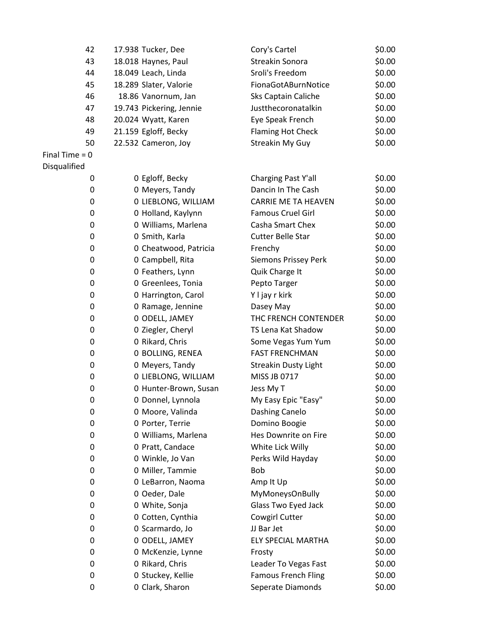| 42               | 17.938 Tucker, Dee       | Cory's Cartel               | \$0.00 |
|------------------|--------------------------|-----------------------------|--------|
| 43               | 18.018 Haynes, Paul      | Streakin Sonora             | \$0.00 |
| 44               | 18.049 Leach, Linda      | Sroli's Freedom             | \$0.00 |
| 45               | 18.289 Slater, Valorie   | FionaGotABurnNotice         | \$0.00 |
| 46               | 18.86 Vanornum, Jan      | Sks Captain Caliche         | \$0.00 |
| 47               | 19.743 Pickering, Jennie | Justthecoronatalkin         | \$0.00 |
| 48               | 20.024 Wyatt, Karen      | Eye Speak French            | \$0.00 |
| 49               | 21.159 Egloff, Becky     | <b>Flaming Hot Check</b>    | \$0.00 |
| 50               | 22.532 Cameron, Joy      | Streakin My Guy             | \$0.00 |
| Final Time $= 0$ |                          |                             |        |
| Disqualified     |                          |                             |        |
| 0                | 0 Egloff, Becky          | Charging Past Y'all         | \$0.00 |
| 0                | 0 Meyers, Tandy          | Dancin In The Cash          | \$0.00 |
| 0                | 0 LIEBLONG, WILLIAM      | <b>CARRIE ME TA HEAVEN</b>  | \$0.00 |
| 0                | 0 Holland, Kaylynn       | <b>Famous Cruel Girl</b>    | \$0.00 |
| 0                | 0 Williams, Marlena      | Casha Smart Chex            | \$0.00 |
| 0                | 0 Smith, Karla           | <b>Cutter Belle Star</b>    | \$0.00 |
| 0                | 0 Cheatwood, Patricia    | Frenchy                     | \$0.00 |
| 0                | 0 Campbell, Rita         | Siemons Prissey Perk        | \$0.00 |
| 0                | 0 Feathers, Lynn         | Quik Charge It              | \$0.00 |
| 0                | 0 Greenlees, Tonia       | Pepto Targer                | \$0.00 |
| 0                | 0 Harrington, Carol      | Y I jay r kirk              | \$0.00 |
| 0                | 0 Ramage, Jennine        | Dasey May                   | \$0.00 |
| 0                | 0 ODELL, JAMEY           | THC FRENCH CONTENDER        | \$0.00 |
| 0                | 0 Ziegler, Cheryl        | TS Lena Kat Shadow          | \$0.00 |
| 0                | 0 Rikard, Chris          | Some Vegas Yum Yum          | \$0.00 |
| 0                | 0 BOLLING, RENEA         | <b>FAST FRENCHMAN</b>       | \$0.00 |
| 0                | 0 Meyers, Tandy          | <b>Streakin Dusty Light</b> | \$0.00 |
| 0                | 0 LIEBLONG, WILLIAM      | MISS JB 0717                | \$0.00 |
| 0                | 0 Hunter-Brown, Susan    | Jess My T                   | \$0.00 |
| 0                | 0 Donnel, Lynnola        | My Easy Epic "Easy"         | \$0.00 |
| 0                | 0 Moore, Valinda         | Dashing Canelo              | \$0.00 |
| 0                | 0 Porter, Terrie         | Domino Boogie               | \$0.00 |
| 0                | 0 Williams, Marlena      | Hes Downrite on Fire        | \$0.00 |
| 0                | 0 Pratt, Candace         | White Lick Willy            | \$0.00 |
| 0                | 0 Winkle, Jo Van         | Perks Wild Hayday           | \$0.00 |
| 0                | 0 Miller, Tammie         | <b>Bob</b>                  | \$0.00 |
| 0                | 0 LeBarron, Naoma        | Amp It Up                   | \$0.00 |
| 0                | 0 Oeder, Dale            | MyMoneysOnBully             | \$0.00 |
| 0                | 0 White, Sonja           | Glass Two Eyed Jack         | \$0.00 |
| 0                | 0 Cotten, Cynthia        | Cowgirl Cutter              | \$0.00 |
| 0                | 0 Scarmardo, Jo          | JJ Bar Jet                  | \$0.00 |
| 0                | 0 ODELL, JAMEY           | ELY SPECIAL MARTHA          | \$0.00 |
| 0                | 0 McKenzie, Lynne        | Frosty                      | \$0.00 |
| 0                | 0 Rikard, Chris          | Leader To Vegas Fast        | \$0.00 |
| 0                | 0 Stuckey, Kellie        | <b>Famous French Fling</b>  | \$0.00 |
| 0                | 0 Clark, Sharon          | Seperate Diamonds           | \$0.00 |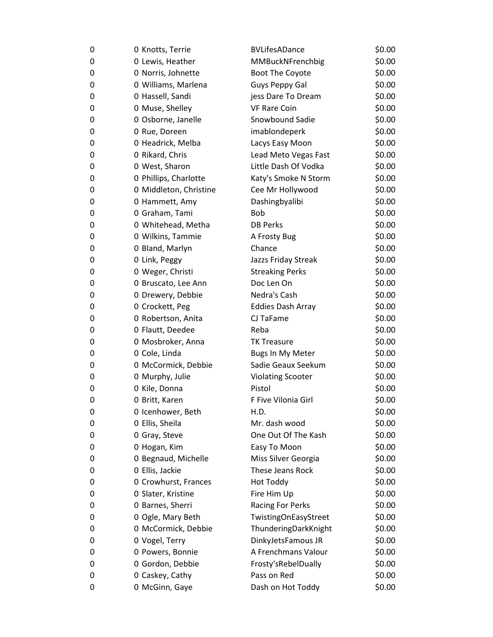| 0 | 0 Knotts, Terrie       | <b>BVLifesADance</b>     | \$0.00 |
|---|------------------------|--------------------------|--------|
| 0 | 0 Lewis, Heather       | MMBuckNFrenchbig         | \$0.00 |
| 0 | 0 Norris, Johnette     | Boot The Coyote          | \$0.00 |
| 0 | 0 Williams, Marlena    | Guys Peppy Gal           | \$0.00 |
| 0 | 0 Hassell, Sandi       | jess Dare To Dream       | \$0.00 |
| 0 | 0 Muse, Shelley        | <b>VF Rare Coin</b>      | \$0.00 |
| 0 | 0 Osborne, Janelle     | Snowbound Sadie          | \$0.00 |
| 0 | 0 Rue, Doreen          | imablondeperk            | \$0.00 |
| 0 | 0 Headrick, Melba      | Lacys Easy Moon          | \$0.00 |
| 0 | 0 Rikard, Chris        | Lead Meto Vegas Fast     | \$0.00 |
| 0 | 0 West, Sharon         | Little Dash Of Vodka     | \$0.00 |
| 0 | 0 Phillips, Charlotte  | Katy's Smoke N Storm     | \$0.00 |
| 0 | 0 Middleton, Christine | Cee Mr Hollywood         | \$0.00 |
| 0 | 0 Hammett, Amy         | Dashingbyalibi           | \$0.00 |
| 0 | 0 Graham, Tami         | <b>Bob</b>               | \$0.00 |
| 0 | 0 Whitehead, Metha     | <b>DB Perks</b>          | \$0.00 |
| 0 | 0 Wilkins, Tammie      | A Frosty Bug             | \$0.00 |
| 0 | 0 Bland, Marlyn        | Chance                   | \$0.00 |
| 0 | 0 Link, Peggy          | Jazzs Friday Streak      | \$0.00 |
| 0 | 0 Weger, Christi       | <b>Streaking Perks</b>   | \$0.00 |
| 0 | 0 Bruscato, Lee Ann    | Doc Len On               | \$0.00 |
| 0 | 0 Drewery, Debbie      | Nedra's Cash             | \$0.00 |
| 0 | 0 Crockett, Peg        | <b>Eddies Dash Array</b> | \$0.00 |
| 0 | 0 Robertson, Anita     | CJ TaFame                | \$0.00 |
| 0 | 0 Flautt, Deedee       | Reba                     | \$0.00 |
| 0 | 0 Mosbroker, Anna      | <b>TK Treasure</b>       | \$0.00 |
| 0 | 0 Cole, Linda          | Bugs In My Meter         | \$0.00 |
| 0 | 0 McCormick, Debbie    | Sadie Geaux Seekum       | \$0.00 |
| 0 | 0 Murphy, Julie        | <b>Violating Scooter</b> | \$0.00 |
| 0 | 0 Kile, Donna          | Pistol                   | \$0.00 |
| 0 | 0 Britt, Karen         | F Five Vilonia Girl      | \$0.00 |
| 0 | 0 Icenhower, Beth      | H.D.                     | \$0.00 |
| 0 | 0 Ellis, Sheila        | Mr. dash wood            | \$0.00 |
| 0 | 0 Gray, Steve          | One Out Of The Kash      | \$0.00 |
| 0 | 0 Hogan, Kim           | Easy To Moon             | \$0.00 |
| 0 | 0 Begnaud, Michelle    | Miss Silver Georgia      | \$0.00 |
| 0 | 0 Ellis, Jackie        | These Jeans Rock         | \$0.00 |
| 0 | 0 Crowhurst, Frances   | <b>Hot Toddy</b>         | \$0.00 |
| 0 | 0 Slater, Kristine     | Fire Him Up              | \$0.00 |
| 0 | 0 Barnes, Sherri       | <b>Racing For Perks</b>  | \$0.00 |
| 0 | 0 Ogle, Mary Beth      | TwistingOnEasyStreet     | \$0.00 |
| 0 | 0 McCormick, Debbie    | ThunderingDarkKnight     | \$0.00 |
| 0 | 0 Vogel, Terry         | DinkyJetsFamous JR       | \$0.00 |
| 0 | 0 Powers, Bonnie       | A Frenchmans Valour      | \$0.00 |
| 0 | 0 Gordon, Debbie       | Frosty's Rebel Dually    | \$0.00 |
| 0 | 0 Caskey, Cathy        | Pass on Red              | \$0.00 |
| 0 | 0 McGinn, Gaye         | Dash on Hot Toddy        | \$0.00 |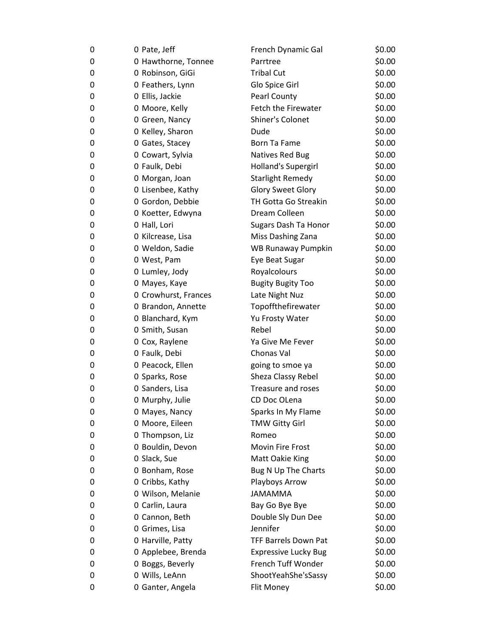| 0 | 0 Pate, Jeff         | French Dynamic Gal          | \$0.00 |
|---|----------------------|-----------------------------|--------|
| 0 | 0 Hawthorne, Tonnee  | Parrtree                    | \$0.00 |
| 0 | 0 Robinson, GiGi     | <b>Tribal Cut</b>           | \$0.00 |
| 0 | 0 Feathers, Lynn     | Glo Spice Girl              | \$0.00 |
| 0 | 0 Ellis, Jackie      | Pearl County                | \$0.00 |
| 0 | 0 Moore, Kelly       | Fetch the Firewater         | \$0.00 |
| 0 | 0 Green, Nancy       | Shiner's Colonet            | \$0.00 |
| 0 | 0 Kelley, Sharon     | Dude                        | \$0.00 |
| 0 | 0 Gates, Stacey      | Born Ta Fame                | \$0.00 |
| 0 | 0 Cowart, Sylvia     | <b>Natives Red Bug</b>      | \$0.00 |
| 0 | 0 Faulk, Debi        | Holland's Supergirl         | \$0.00 |
| 0 | 0 Morgan, Joan       | <b>Starlight Remedy</b>     | \$0.00 |
| 0 | 0 Lisenbee, Kathy    | <b>Glory Sweet Glory</b>    | \$0.00 |
| 0 | 0 Gordon, Debbie     | TH Gotta Go Streakin        | \$0.00 |
| 0 | 0 Koetter, Edwyna    | Dream Colleen               | \$0.00 |
| 0 | 0 Hall, Lori         | Sugars Dash Ta Honor        | \$0.00 |
| 0 | 0 Kilcrease, Lisa    | Miss Dashing Zana           | \$0.00 |
| 0 | 0 Weldon, Sadie      | <b>WB Runaway Pumpkin</b>   | \$0.00 |
| 0 | 0 West, Pam          | Eye Beat Sugar              | \$0.00 |
| 0 | 0 Lumley, Jody       | Royalcolours                | \$0.00 |
| 0 | 0 Mayes, Kaye        | <b>Bugity Bugity Too</b>    | \$0.00 |
| 0 | 0 Crowhurst, Frances | Late Night Nuz              | \$0.00 |
| 0 | 0 Brandon, Annette   | Topoffthefirewater          | \$0.00 |
| 0 | 0 Blanchard, Kym     | Yu Frosty Water             | \$0.00 |
| 0 | 0 Smith, Susan       | Rebel                       | \$0.00 |
| 0 | 0 Cox, Raylene       | Ya Give Me Fever            | \$0.00 |
| 0 | 0 Faulk, Debi        | Chonas Val                  | \$0.00 |
| 0 | 0 Peacock, Ellen     | going to smoe ya            | \$0.00 |
| 0 | 0 Sparks, Rose       | Sheza Classy Rebel          | \$0.00 |
| 0 | 0 Sanders, Lisa      | Treasure and roses          | \$0.00 |
| 0 | 0 Murphy, Julie      | CD Doc OLena                | \$0.00 |
| 0 | 0 Mayes, Nancy       | Sparks In My Flame          | \$0.00 |
| 0 | 0 Moore, Eileen      | <b>TMW Gitty Girl</b>       | \$0.00 |
| 0 | 0 Thompson, Liz      | Romeo                       | \$0.00 |
| 0 | 0 Bouldin, Devon     | Movin Fire Frost            | \$0.00 |
| 0 | 0 Slack, Sue         | Matt Oakie King             | \$0.00 |
| 0 | 0 Bonham, Rose       | Bug N Up The Charts         | \$0.00 |
| 0 | 0 Cribbs, Kathy      | Playboys Arrow              | \$0.00 |
| 0 | 0 Wilson, Melanie    | <b>JAMAMMA</b>              | \$0.00 |
| 0 | 0 Carlin, Laura      | Bay Go Bye Bye              | \$0.00 |
| 0 | 0 Cannon, Beth       | Double Sly Dun Dee          | \$0.00 |
| 0 | 0 Grimes, Lisa       | Jennifer                    | \$0.00 |
| 0 | 0 Harville, Patty    | <b>TFF Barrels Down Pat</b> | \$0.00 |
| 0 | 0 Applebee, Brenda   | <b>Expressive Lucky Bug</b> | \$0.00 |
| 0 | 0 Boggs, Beverly     | French Tuff Wonder          | \$0.00 |
| 0 | 0 Wills, LeAnn       | ShootYeahShe'sSassy         | \$0.00 |
| 0 | 0 Ganter, Angela     | Flit Money                  | \$0.00 |